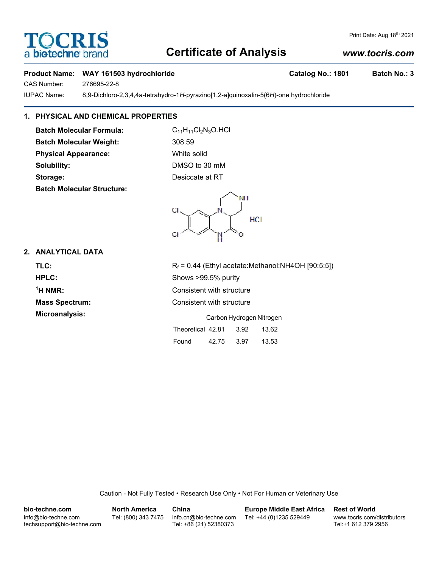# **Certificate of Analysis**

### *www.tocris.com*

Print Date: Aug 18th 2021

#### Product Name: WAY 161503 hydrochloride **Catalog No.: 1801** Batch No.: 3

CAS Number: 276695-22-8

IUPAC Name: 8,9-Dichloro-2,3,4,4a-tetrahydro-1*H*-pyrazino[1,2-*a*]quinoxalin-5(6*H*)-one hydrochloride

## **1. PHYSICAL AND CHEMICAL PROPERTIES**

**Batch Molecular Formula:** C<sub>11</sub>H<sub>11</sub>Cl<sub>2</sub>N<sub>3</sub>O.HCl **Batch Molecular Weight:** 308.59 **Physical Appearance:** White solid **Solubility:** DMSO to 30 mM **Storage:** Desiccate at RT **Batch Molecular Structure:**



#### **2. ANALYTICAL DATA**

 $<sup>1</sup>H NMR$ </sup>

**TLC:**  $R_f = 0.44$  (Ethyl acetate:Methanol:NH4OH [90:5:5]) **HPLC:** Shows >99.5% purity **Consistent with structure Mass Spectrum:** Consistent with structure **Microanalysis:** Carbon Hydrogen Nitrogen Theoretical 42.81 3.92 13.62 Found 42.75 3.97 13.53

Caution - Not Fully Tested • Research Use Only • Not For Human or Veterinary Use

| bio-techne.com                                    | <b>North America</b> | China                                            | <b>Europe Middle East Africa</b> | <b>Rest of World</b>                               |
|---------------------------------------------------|----------------------|--------------------------------------------------|----------------------------------|----------------------------------------------------|
| info@bio-techne.com<br>techsupport@bio-techne.com | Tel: (800) 343 7475  | info.cn@bio-techne.com<br>Tel: +86 (21) 52380373 | Tel: +44 (0)1235 529449          | www.tocris.com/distributors<br>Tel:+1 612 379 2956 |